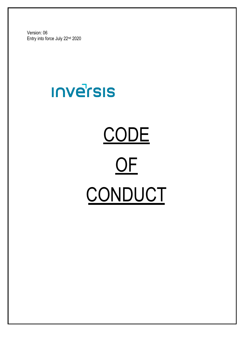Version: 06 Entry into force July 22nd 2020

# **INVETSIS**

# CONDUCT **CODE** OF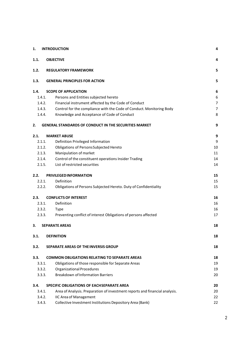| 1.     | <b>INTRODUCTION</b>                                                         | 4  |
|--------|-----------------------------------------------------------------------------|----|
| 1.1.   | <b>OBJECTIVE</b>                                                            | 4  |
| 1.2.   | <b>REGULATORY FRAMEWORK</b>                                                 | 5  |
| 1.3.   | <b>GENERAL PRINCIPLES FOR ACTION</b>                                        | 5  |
| 1.4.   | <b>SCOPE OF APPLICATION</b>                                                 | 6  |
| 1.4.1. | Persons and Entities subjected hereto                                       | 6  |
| 1.4.2. | Financial instrument affected by the Code of Conduct                        | 7  |
| 1.4.3. | Control for the compliance with the Code of Conduct. Monitoring Body        | 7  |
| 1.4.4. | Knowledge and Acceptance of Code of Conduct                                 | 8  |
| 2.     | <b>GENERAL STANDARDS OF CONDUCT IN THE SECURITIES MARKET</b>                | 9  |
| 2.1.   | <b>MARKET ABUSE</b>                                                         | 9  |
| 2.1.1. | Definition Privileged Information                                           | 9  |
| 2.1.2. | Obligations of Persons Subjected Hereto                                     | 10 |
| 2.1.3. | Manipulation of market                                                      | 11 |
| 2.1.4. | Control of the constituent operations Insider Trading                       | 14 |
| 2.1.5. | List of restricted securities                                               | 14 |
| 2.2.   | <b>PRIVILEGED INFORMATION</b>                                               | 15 |
| 2.2.1. | Definition                                                                  | 15 |
| 2.2.2. | Obligations of Persons Subjected Hereto. Duty of Confidentiality            | 15 |
| 2.3.   | <b>CONFLICTS OF INTEREST</b>                                                | 16 |
| 2.3.1. | Definition                                                                  | 16 |
|        | 2.3.2.<br><b>Type</b>                                                       | 16 |
| 2.3.3. | Preventing conflict of interest Obligations of persons affected             | 17 |
| 3.     | <b>SEPARATE AREAS</b>                                                       | 18 |
| 3.1.   | <b>DEFINITION</b>                                                           | 18 |
| 3.2.   | <b>SEPARATE AREAS OF THE INVERSIS GROUP</b>                                 | 18 |
| 3.3.   | <b>COMMON OBLIGATIONS RELATING TO SEPARATE AREAS</b>                        | 18 |
| 3.3.1. | Obligations of those responsible for Separate Areas                         | 19 |
| 3.3.2. | <b>Organizational Procedures</b>                                            | 19 |
| 3.3.3. | <b>Breakdown of Information Barriers</b>                                    | 20 |
| 3.4.   | <b>SPECIFIC OBLIGATIONS OF EACH SEPARATE AREA</b>                           | 20 |
| 3.4.1. | Area of Analysis. Preparation of investment reports and financial analysis. | 20 |
| 3.4.2. | <b>IIC Area of Management</b>                                               | 22 |
| 3.4.3. | Collective Investment Institutions Depository Area (Bank)                   | 22 |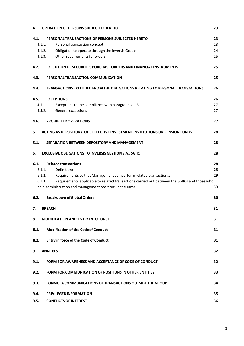| 4.     | <b>OPERATION OF PERSONS SUBJECTED HERETO</b>                                                 | 23 |
|--------|----------------------------------------------------------------------------------------------|----|
| 4.1.   | PERSONAL TRANSACTIONS OF PERSONS SUBJECTED HERETO                                            | 23 |
| 4.1.1. | Personal transaction concept                                                                 | 23 |
| 4.1.2. | Obligation to operate through the Inversis Group                                             | 24 |
| 4.1.3. | Other requirements for orders                                                                | 25 |
| 4.2.   | <b>EXECUTION OF SECURITIES PURCHASE ORDERS AND FINANCIAL INSTRUMENTS</b>                     | 25 |
| 4.3.   | PERSONAL TRANSACTION COMMUNICATION                                                           | 25 |
|        |                                                                                              |    |
| 4.4.   | TRANSACTIONS EXCLUDED FROM THE OBLIGATIONS RELATING TO PERSONAL TRANSACTIONS                 | 26 |
| 4.5.   | <b>EXCEPTIONS</b>                                                                            | 26 |
| 4.5.1. | Exceptions to the compliance with paragraph 4.1.3                                            | 27 |
| 4.5.2. | General exceptions                                                                           | 27 |
|        |                                                                                              |    |
| 4.6.   | <b>PROHIBITED OPERATIONS</b>                                                                 | 27 |
| 5.     | ACTING AS DEPOSITORY OF COLLECTIVE INVESTMENT INSTITUTIONS OR PENSION FUNDS                  | 28 |
| 5.1.   | SEPARATION BETWEEN DEPOSITORY AND MANAGEMENT                                                 | 28 |
| 6.     | <b>EXCLUSIVE OBLIGATIONS TO INVERSIS GESTION S.A., SGIIC</b>                                 | 28 |
| 6.1.   | <b>Related transactions</b>                                                                  | 28 |
| 6.1.1. | Definition:                                                                                  | 28 |
| 6.1.2. | Requirements so that Management can perform related transactions:                            | 29 |
| 6.1.3. | Requirements applicable to related transactions carried out between the SGIICs and those who |    |
|        | hold administration and management positions in the same.                                    | 30 |
|        |                                                                                              |    |
| 6.2.   | <b>Breakdown of Global Orders</b>                                                            | 30 |
| 7.     | <b>BREACH</b>                                                                                | 31 |
|        |                                                                                              |    |
| 8.     | <b>MODIFICATION AND ENTRYINTO FORCE</b>                                                      | 31 |
| 8.1.   | <b>Modification of the Code of Conduct</b>                                                   | 31 |
| 8.2.   | <b>Entry in force of the Code of Conduct</b>                                                 | 31 |
| 9.     | <b>ANNEXES</b>                                                                               | 32 |
| 9.1.   | FORM FOR AWARENESS AND ACCEPTANCE OF CODE OF CONDUCT                                         | 32 |
| 9.2.   | <b>FORM FOR COMMUNICATION OF POSITIONS IN OTHER ENTITIES</b>                                 | 33 |
| 9.3.   | <b>FORMULA COMMUNICATIONS OF TRANSACTIONS OUTSIDE THE GROUP</b>                              | 34 |
|        |                                                                                              |    |
| 9.4.   | <b>PRIVILEGED INFORMATION</b>                                                                | 35 |
| 9.5.   | <b>CONFLICTS OF INTEREST</b>                                                                 | 36 |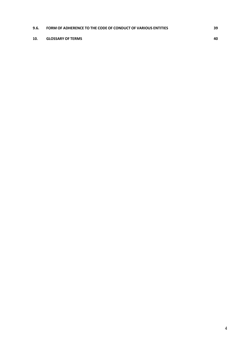#### **9.6. FORM OF [ADHERENCE](#page-44-0) TO THE CODE OF CONDUCT OF VARIOUS ENTITIES 39**

#### **10. GLOSSARY OF TERMS 40**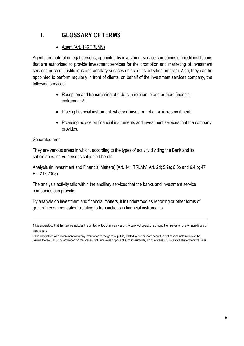# <span id="page-4-0"></span>**1. GLOSSARY OF TERMS**

# • Agent (Art. 146 TRLMV)

Agents are natural or legal persons, appointed by investment service companies or credit institutions that are authorised to provide investment services for the promotion and marketing of investment services or credit institutions and ancillary services object of its activities program. Also, they can be appointed to perform regularly in front of clients, on behalf of the investment services company, the following services:

- Reception and transmission of orders in relation to one or more financial instruments<sup>1</sup>.
- Placing financial instrument, whether based or not on a firmcommitment.
- Providing advice on financial instruments and investment services that the company provides.

#### Separated area

They are various areas in which, according to the types of activity dividing the Bank and its subsidiaries, serve persons subjected hereto.

Analysis (in Investment and Financial Matters) (Art. 141 TRLMV; Art. 2d; 5.2e; 6.3b and 6.4.b; 47 RD 217/2008).

The analysis activity falls within the ancillary services that the banks and investment service companies can provide.

By analysis on investment and financial matters, it is understood as reporting or other forms of general recommendation<sup>2</sup> relating to transactions in financial instruments.

<sup>1</sup> It is understood that this service includes the contact of two or more investors to carry out operations among themselves on one or more financial instruments.

<sup>2</sup> It is understood as a recommendation any information to the general public, related to one or more securities or financial instruments or the issuers thereof, including any report on the present or future value or price of such instruments, which advises or suggests a strategy of investment.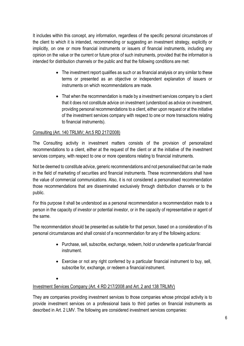It includes within this concept, any information, regardless of the specific personal circumstances of the client to which it is intended, recommending or suggesting an investment strategy, explicitly or implicitly, on one or more financial instruments or issuers of financial instruments, including any opinion on the value or the current or future price of such instruments, provided that the information is intended for distribution channels or the public and that the following conditions are met:

- The investment report qualifies as such or as financial analysis or any similar to these terms or presented as an objective or independent explanation of issuers or instruments on which recommendations are made.
- That when the recommendation is made by a investment services company to a client that it does not constitute advice on investment (understood as advice on investment, providing personal recommendations to a client, either upon request or at the initiative of the investment services company with respect to one or more transactions relating to financial instruments).

#### Consulting (Art. 140 TRLMV; Art.5 RD 217/2008)

The Consulting activity in investment matters consists of the provision of personalized recommendations to a client, either at the request of the client or at the initiative of the investment services company, with respect to one or more operations relating to financial instruments.

Not be deemed to constitute advice, generic recommendations and not personalised that can be made in the field of marketing of securities and financial instruments. These recommendations shall have the value of commercial communications. Also, it is not considered a personalised recommendation those recommendations that are disseminated exclusively through distribution channels or to the public.

For this purpose it shall be understood as a personal recommendation a recommendation made to a person in the capacity of investor or potential investor, or in the capacity of representative or agent of the same.

The recommendation should be presented as suitable for that person, based on a consideration of its personal circumstances and shall consist of a recommendation for any of the following actions:

- Purchase, sell, subscribe, exchange, redeem, hold or underwrite a particular financial instrument.
- Exercise or not any right conferred by a particular financial instrument to buy, sell, subscribe for, exchange, or redeem a financial instrument.
- •

#### Investment Services Company (Art. 4 RD 217/2008 and Art. 2 and 138 TRLMV)

They are companies providing investment services to those companies whose principal activity is to provide investment services on a professional basis to third parties on financial instruments as described in Art. 2 LMV. The following are considered investment services companies: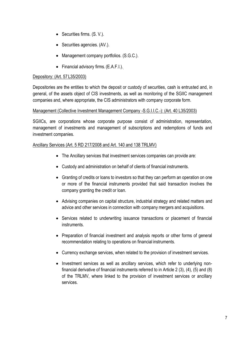- Securities firms. (S. V.).
- Securities agencies. (AV.).
- Management company portfolios. (S.G.C.).
- Financial advisory firms. (E.A.F.I.).

#### Depository: (Art. 57L35/2003)

Depositories are the entities to which the deposit or custody of securities, cash is entrusted and, in general, of the assets object of CIS investments, as well as monitoring of the SGIIC management companies and, where appropriate, the CIS administrators with company corporate form.

#### Management (Collective Investment Management Company -S.G.I.I.C.-): (Art. 40 L35/2003)

SGIICs, are corporations whose corporate purpose consist of administration, representation, management of investments and management of subscriptions and redemptions of funds and investment companies.

#### Ancillary Services (Art. 5 RD 217/2008 and Art. 140 and 138 TRLMV)

- The Ancillary services that investment services companies can provide are:
- Custody and administration on behalf of clients of financial instruments.
- Granting of credits or loans to investors so that they can perform an operation on one or more of the financial instruments provided that said transaction involves the company granting the credit or loan.
- Advising companies on capital structure, industrial strategy and related matters and advice and other services in connection with company mergers and acquisitions.
- Services related to underwriting issuance transactions or placement of financial instruments.
- Preparation of financial investment and analysis reports or other forms of general recommendation relating to operations on financial instruments.
- Currency exchange services, when related to the provision of investment services.
- Investment services as well as ancillary services, which refer to underlying nonfinancial derivative of financial instruments referred to in Article 2 (3), (4), (5) and (8) of the TRLMV, where linked to the provision of investment services or ancillary services.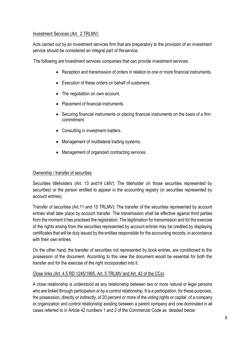#### Investment Services (Art. 2 TRLMV)

Acts carried out by an investment services firm that are preparatory to the provision of an investment service should be considered an integral part of theservice.

The following are Investment services companies that can provide investment services:

- Reception and transmission of orders in relation to one or more financial instruments.
- Execution of these orders on behalf of customers.
- The negotiation on own account.
- Placement of financial instruments.
- Securing financial instruments or placing financial instruments on the basis of a firm commitment.
- Consulting in investment matters.
- Management of multilateral trading systems.
- Management of organized contracting services.

#### Ownership / transfer of securities

Securities titleholders (Art. 13 and14 LMV): The titleholder (in those securities represented by securities) or the person entitled to appear in the accounting registry (in securities represented by account entries).

Transfer of securities (Art.11 and 15 TRLMV): The transfer of the securities represented by account entries shall take place by account transfer. The transmission shall be effective against third parties from the moment it has practised the registration. The legitimation for transmission and for the exercise of the rights arising from the securities represented by account entries may be credited by displaying certificates that will be duly issued by the entities responsible for the accounting records, in accordance with their own entries.

On the other hand, the transfer of securities not represented by book entries, are conditioned to the possession of the document. According to this view the document would be essential for both the transfer and for the exercise of the right incorporated into it.

#### Close links (Art. 4.5 RD 1245/1995, Art. 5 TRLMV and Art. 42 of the CCo)

A close relationship is understood as any relationship between two or more natural or legal persons who are linked through participation or by a control relationship. It is a participation, for these purposes, the possession, directly or indirectly, of 20 percent or more of the voting rights or capital of a company or organization and control relationship existing between a parent company and one dominated in all cases referred to in Article 42 numbers 1 and 2 of the Commercial Code as detailed below: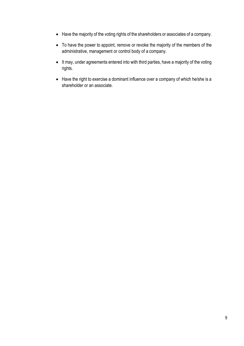- Have the majority of the voting rights of the shareholders or associates of a company.
- To have the power to appoint, remove or revoke the majority of the members of the administrative, management or control body of a company.
- It may, under agreements entered into with third parties, have a majority of the voting rights.
- Have the right to exercise a dominant influence over a company of which he/she is a shareholder or an associate.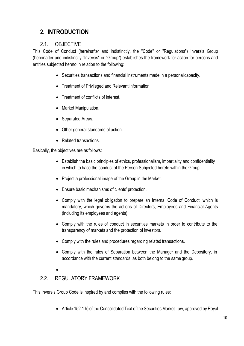# **2. INTRODUCTION**

# 2.1. OBJECTIVE

<span id="page-9-0"></span>This Code of Conduct (hereinafter and indistinctly, the "Code" or "Regulations") Inversis Group (hereinafter and indistinctly "Inversis" or "Group") establishes the framework for action for persons and entities subjected hereto in relation to the following:

- Securities transactions and financial instruments made in a personal capacity.
- Treatment of Privileged and Relevant Information.
- Treatment of conflicts of interest.
- Market Manipulation.
- Separated Areas.
- Other general standards of action.
- Related transactions.

Basically, the objectives are asfollows:

- Establish the basic principles of ethics, professionalism, impartiality and confidentiality in which to base the conduct of the Person Subjected hereto within the Group.
- Project a professional image of the Group in the Market.
- Ensure basic mechanisms of clients' protection.
- Comply with the legal obligation to prepare an Internal Code of Conduct, which is mandatory, which governs the actions of Directors, Employees and Financial Agents (including its employees and agents).
- Comply with the rules of conduct in securities markets in order to contribute to the transparency of markets and the protection of investors.
- Comply with the rules and procedures regarding related transactions.
- Comply with the rules of Separation between the Manager and the Depository, in accordance with the current standards, as both belong to the same group.
- •

# <span id="page-9-1"></span>2.2. REGULATORY FRAMEWORK

This Inversis Group Code is inspired by and complies with the following rules:

• Article 152.1 h) of the Consolidated Text of the Securities Market Law, approved by Royal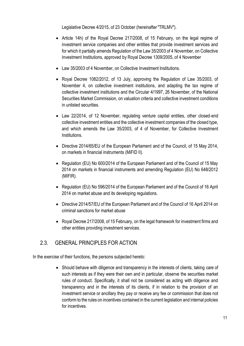Legislative Decree 4/2015, of 23 October (hereinafter "TRLMV").

- Article 14h) of the Royal Decree 217/2008, of 15 February, on the legal regime of investment service companies and other entities that provide investment services and for which it partially amends Regulation of the Law 35/2003 of 4 November, on Collective Investment Institutions, approved by Royal Decree 1309/2005, of 4 November
- Law 35/2003 of 4 November, on Collective Investment Institutions.
- Royal Decree 1082/2012, of 13 July, approving the Regulation of Law 35/2003, of November 4, on collective investment institutions, and adapting the tax regime of collective investment institutions and the Circular 4/1997, 26 November, of the National Securities Market Commission, on valuation criteria and collective investment conditions in unlisted securities.
- Law 22/2014, of 12 November, regulating venture capital entities, other closed-end collective investment entities and the collective investment companies of the closed type, and which amends the Law 35/2003, of 4 of November, for Collective Investment Institutions.
- Directive 2014/65/EU of the European Parliament and of the Council, of 15 May 2014, on markets in financial instruments (MiFID II).
- Regulation (EU) No 600/2014 of the European Parliament and of the Council of 15 May 2014 on markets in financial instruments and amending Regulation (EU) No 648/2012 (MIFIR).
- Regulation (EU) No 596/2014 of the European Parliament and of the Council of 16 April 2014 on market abuse and its developing regulations.
- Directive 2014/57/EU of the European Parliament and of the Council of 16 April 2014 on criminal sanctions for market abuse
- Royal Decree 217/2008, of 15 February, on the legal framework for investment firms and other entities providing investment services.

# <span id="page-10-0"></span>2.3. GENERAL PRINCIPLES FOR ACTION

In the exercise of their functions, the persons subjected hereto:

• Should behave with diligence and transparency in the interests of clients, taking care of such interests as if they were their own and in particular, observe the securities market rules of conduct. Specifically, it shall not be considered as acting with diligence and transparency and in the interests of its clients, if in relation to the provision of an investment service or ancillary they pay or receive any fee or commission that does not conform to the rules on incentives contained in the current legislation and internal policies for incentives.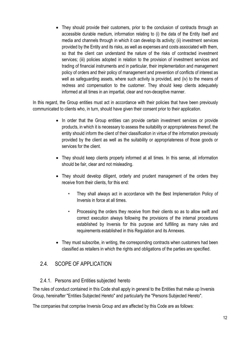<span id="page-11-1"></span>• They should provide their customers, prior to the conclusion of contracts through an accessible durable medium, information relating to (i) the data of the Entity itself and media and channels through in which it can develop its activity; (ii) investment services provided by the Entity and its risks, as well as expenses and costs associated with them, so that the client can understand the nature of the risks of contracted investment services; (iii) policies adopted in relation to the provision of investment services and trading of financial instruments and in particular, their implementation and management policy of orders and their policy of management and prevention of conflicts of interest as well as safeguarding assets, where such activity is provided, and (iv) to the means of redress and compensation to the customer. They should keep clients adequately informed at all times in an impartial, clear and non-deceptive manner.

In this regard, the Group entities must act in accordance with their policies that have been previously communicated to clients who, in turn, should have given their consent prior to their application.

- In order that the Group entities can provide certain investment services or provide products, in which it is necessary to assess the suitability or appropriateness thereof, the entity should inform the client of their classification in virtue of the information previously provided by the client as well as the suitability or appropriateness of those goods or services for the client.
- They should keep clients properly informed at all times. In this sense, all information should be fair, clear and not misleading.
- They should develop diligent, orderly and prudent management of the orders they receive from their clients, for this end:
	- They shall always act in accordance with the Best Implementation Policy of Inversis in force at all times.
	- Processing the orders they receive from their clients so as to allow swift and correct execution always following the provisions of the internal procedures established by Inversis for this purpose and fulfilling as many rules and requirements established in this Regulation and its Annexes.
- They must subscribe, in writing, the corresponding contracts when customers had been classified as retailers in which the rights and obligations of the parties are specified.

# <span id="page-11-0"></span>2.4. SCOPE OF APPLICATION

#### 2.4.1. Persons and Entities subjected hereto

The rules of conduct contained in this Code shall apply in general to the Entities that make up Inversis Group, hereinafter "Entities Subjected Hereto" and particularly the "Persons Subjected Hereto".

The companies that comprise Inversis Group and are affected by this Code are as follows: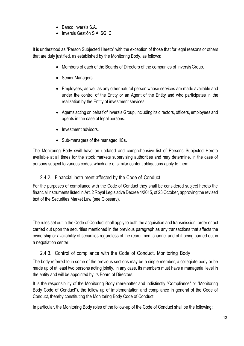- Banco Inversis S.A.
- Inversis Gestión S.A. SGIIC

It is understood as "Person Subjected Hereto" with the exception of those that for legal reasons or others that are duly justified, as established by the Monitoring Body, as follows:

- Members of each of the Boards of Directors of the companies of Inversis Group.
- Senior Managers.
- Employees, as well as any other natural person whose services are made available and under the control of the Entity or an Agent of the Entity and who participates in the realization by the Entity of investment services.
- Agents acting on behalf of Inversis Group, including its directors, officers, employees and agents in the case of legal persons.
- Investment advisors.
- Sub-managers of the managed IICs.

The Monitoring Body swill have an updated and comprehensive list of Persons Subjected Hereto available at all times for the stock markets supervising authorities and may determine, in the case of persons subject to various codes, which are of similar content obligations apply to them.

#### 2.4.2. Financial instrument affected by the Code of Conduct

<span id="page-12-0"></span>For the purposes of compliance with the Code of Conduct they shall be considered subject hereto the financial instruments listed in Art. 2 Royal Legislative Decree 4/2015, of 23 October, approving the revised text of the Securities Market Law (see Glossary).

The rules set out in the Code of Conduct shall apply to both the acquisition and transmission, order or act carried out upon the securities mentioned in the previous paragraph as any transactions that affects the ownership or availability of securities regardless of the recruitment channel and of it being carried out in a negotiation center.

#### 2.4.3. Control of compliance with the Code of Conduct. Monitoring Body

<span id="page-12-1"></span>The body referred to in some of the previous sections may be a single member, a collegiate body or be made up of at least two persons acting jointly. In any case, its members must have a managerial level in the entity and will be appointed by its Board of Directors.

It is the responsibility of the Monitoring Body (hereinafter and indistinctly "Compliance" or "Monitoring Body Code of Conduct"), the follow up of implementation and compliance in general of the Code of Conduct, thereby constituting the Monitoring Body Code of Conduct.

In particular, the Monitoring Body roles of the follow-up of the Code of Conduct shall be the following: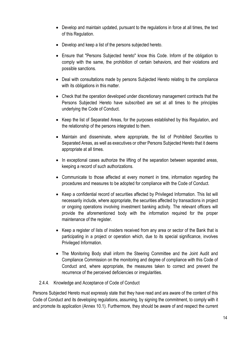- Develop and maintain updated, pursuant to the regulations in force at all times, the text of this Regulation.
- Develop and keep a list of the persons subjected hereto.
- Ensure that "Persons Subjected hereto" know this Code. Inform of the obligation to comply with the same, the prohibition of certain behaviors, and their violations and possible sanctions.
- Deal with consultations made by persons Subjected Hereto relating to the compliance with its obligations in this matter.
- Check that the operation developed under discretionary management contracts that the Persons Subjected Hereto have subscribed are set at all times to the principles underlying the Code of Conduct.
- Keep the list of Separated Areas, for the purposes established by this Regulation, and the relationship of the persons integrated to them.
- Maintain and disseminate, where appropriate, the list of Prohibited Securities to Separated Areas, as well as executives or other Persons Subjected Hereto that it deems appropriate at all times.
- In exceptional cases authorize the lifting of the separation between separated areas, keeping a record of such authorizations.
- Communicate to those affected at every moment in time, information regarding the procedures and measures to be adopted for compliance with the Code of Conduct.
- Keep a confidential record of securities affected by Privileged Information. This list will necessarily include, where appropriate, the securities affected by transactions in project or ongoing operations involving investment banking activity. The relevant officers will provide the aforementioned body with the information required for the proper maintenance of the register.
- Keep a register of lists of insiders received from any area or sector of the Bank that is participating in a project or operation which, due to its special significance, involves Privileged Information.
- The Monitoring Body shall inform the Steering Committee and the Joint Audit and Compliance Commission on the monitoring and degree of compliance with this Code of Conduct and, where appropriate, the measures taken to correct and prevent the recurrence of the perceived deficiencies or irregularities.
- 2.4.4. Knowledge and Acceptance of Code of Conduct

Persons Subjected Hereto must expressly state that they have read and ara aware of the content of this Code of Conduct and its developing regulations, assuming, by signing the commitment, to comply with it and promote its application (Annex 10.1). Furthermore, they should be aware of and respect the current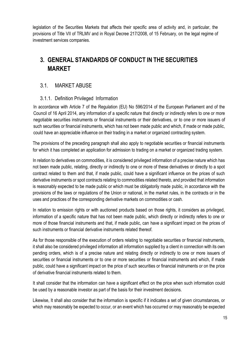legislation of the Securities Markets that affects their specific area of activity and, in particular, the provisions of Title VII of TRLMV and in Royal Decree 217/2008, of 15 February, on the legal regime of investment services companies.

# **3. GENERAL STANDARDS OF CONDUCT IN THE SECURITIES MARKET**

#### 3.1. MARKET ABUSE

#### 3.1.1. Definition Privileged Information

In accordance with Article 7 of the Regulation (EU) No 596/2014 of the European Parliament and of the Council of 16 April 2014, any information of a specific nature that directly or indirectly refers to one or more negotiable securities instruments or financial instruments or their derivatives, or to one or more issuers of such securities or financial instruments, which has not been made public and which, if made or made public, could have an appreciable influence on their trading in a market or organized contracting system.

The provisions of the preceding paragraph shall also apply to negotiable securities or financial instruments for which it has completed an application for admission to trading on a market or organized trading system.

In relation to derivatives on commodities, it is considered privileged information of a precise nature which has not been made public, relating, directly or indirectly to one or more of these derivatives or directly to a spot contract related to them and that, if made public, could have a significant influence on the prices of such derivative instruments or spot contracts relating to commodities related thereto, and provided that information is reasonably expected to be made public or which must be obligatorily made public, in accordance with the provisions of the laws or regulations of the Union or national, in the market rules, in the contracts or in the uses and practices of the corresponding derivative markets on commodities or cash.

In relation to emission rights or with auctioned products based on those rights, it considers as privileged, information of a specific nature that has not been made public, which directly or indirectly refers to one or more of those financial instruments and that, if made public, can have a significant impact on the prices of such instruments or financial derivative instruments related thereof.

As for those responsible of the execution of orders relating to negotiable securities or financial instruments, it shall also be considered privileged information all information supplied by a client in connection with its own pending orders, which is of a precise nature and relating directly or indirectly to one or more issuers of securities or financial instruments or to one or more securities or financial instruments and which, if made public, could have a significant impact on the price of such securities or financial instruments or on the price of derivative financial instruments related to them.

It shall consider that the information can have a significant effect on the price when such information could be used by a reasonable investor as part of the basis for their investment decisions.

Likewise, It shall also consider that the information is specific if it indicates a set of given circumstances, or which may reasonably be expected to occur, or an event which has occurred or may reasonably be expected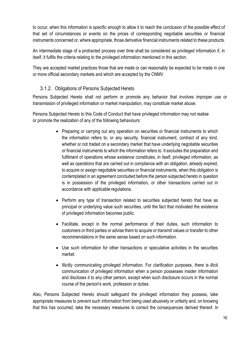to occur, when this information is specific enough to allow it to reach the conclusion of the possible effect of that set of circumstances or events on the prices of corresponding negotiable securities or financial instruments concerned or, where appropriate, those derivative financial instruments related to these products.

An intermediate stage of a protracted process over time shall be considered as privileged information if, in itself, it fulfils the criteria relating to the privileged information mentioned in this section.

They are accepted market practices those that are made or can reasonably be expected to be made in one or more official secondary markets and which are accepted by the CNMV.

#### 3.1.2. Obligations of Persons Subjected Hereto

<span id="page-15-0"></span>Persons Subjected Hereto shall not perform or promote any behavior that involves improper use or transmission of privileged information or market manipulation, may constitute market abuse.

Persons Subjected Hereto to this Code of Conduct that have privileged information may not realise or promote the realization of any of the following behaviours:

- Preparing or carrying out any operation on securities or financial instruments to which the information refers to, or any security, financial instrument, contract of any kind, whether or not traded on a secondary market that have underlying negotiable securities or financial instruments to which the information refers to. It excludes the preparation and fufillment of operations whose existence constitutes, in itself, privileged information, as well as operations that are carried out in compliance with an obligation, already expired, to acquire or assign negotiable securities or financial instruments, when this obligation is contemplated in an agreement concluded before the person subjected hereto in question is in possession of the privileged information, or other transactions carried out in accordance with applicable regulations.
- Perform any type of transaction related to securities subjected hereto that have as principal or underlying value such securities, until the fact that motivated the existence of privileged information becomes public.
- Facilitate, except in the normal performance of their duties, such information to customers or third parties or advise them to acquire or transmit values or transfer to other recommendations in the same sense based on such information.
- Use such information for other transactions or speculative activities in the securities market.
- Illicitly communicating privileged information. For clarification purposes, there is illicit communication of privileged information when a person possesses insider information and discloses it to any other person, except when such disclosure occurs in the normal course of the person's work, profession or duties

Also, Persons Subjected Hereto should safeguard the privileged information they possess, take appropriate measures to prevent such information from being used abusively or unfairly and, on knowing that this has occurred, take the necessary measures to correct the consequences derived thereof. In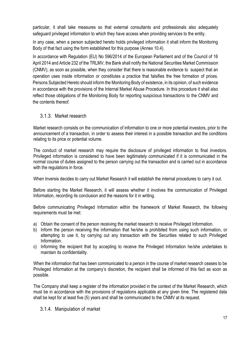particular, it shall take measures so that external consultants and professionals also adequately safeguard privileged information to which they have access when providing services to the entity.

In any case, when a person subjected hereto holds privileged information it shall inform the Monitoring Body of that fact using the form established for this purpose (Annex 10.4).

In accordance with Regulation (EU) No 596/2014 of the European Parliament and of the Council of 16 April 2014 and Article 232 of the TRLMV, the Bank shall notify the National Securities Market Commission (CNMV), as soon as possible, when they consider that there is reasonable evidence to suspect that an operation uses inside information or constitutes a practice that falsifies the free formation of prices. Persons Subjected Hereto should inform the Monitoring Body of existence, in its opinion, of such evidence in accordance with the provisions of the Internal Market Abuse Procedure. In this procedure it shall also reflect those obligations of the Monitoring Body for reporting suspicious transactions to the CNMV and the contents thereof.

#### 3.1.3. Market research

Market research consists on the communication of information to one or more potential investors, prior to the announcement of a transaction, in order to assess their interest in a possible transaction and the conditions relating to its price or potential volume.

The conduct of market research may require the disclosure of privileged information to final investors. Privileged information is considered to have been legitimately communicated if it is communicated in the normal course of duties assigned to the person carrying out the transaction and is carried out in accordance with the regulations in force.

When Inversis decides to carry out Market Research it will establish the internal procedures to carry it out.

Before starting the Market Research, it will assess whether it involves the communication of Privileged Information, recording its conclusion and the reasons for it in writing.

Before communicating Privileged Information within the framework of Market Research, the following requirements must be met:

- a) Obtain the consent of the person receiving the market research to receive Privileged Information.
- b) Inform the person receiving the information that he/she is prohibited from using such information, or attempting to use it, by carrying out any transaction with the Securities related to such Privileged Information.
- c) Informing the recipient that by accepting to receive the Privileged Information he/she undertakes to maintain its confidentiality.

When the information that has been communicated to a person in the course of market research ceases to be Privileged Information at the company's discretion, the recipient shall be informed of this fact as soon as possible.

The Company shall keep a register of the information provided in the context of the Market Research, which must be in accordance with the provisions of regulations applicable at any given time. The registered data shall be kept for at least five (5) years and shall be communicated to the CNMV at its request.

#### 3.1.4. Manipulation of market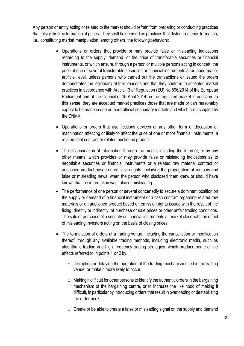Any person or entity acting or related to the market should refrain from preparing or conducting practices that falsify the free formation of prices. They shall be deemed as practices that distort free price formation, i.e., constituting market manipulation, among others, the following behaviors:

- Operations or orders that provide or may provide false or misleading indications regarding to the supply, demand, or the price of transferable securities or financial instruments, or which ensure, through a person or multiple persons acting in concert, the price of one or several transferable securities or financial instruments at an abnormal or artificial level, unless persons who carried out the transactions or issued the orders demonstrates the legitimacy of their reasons and that they conform to accepted market practices in accordance with Article 13 of Regulation (EU) No 596/2014 of the European Parliament and of the Council of 16 April 2014 on the regulated market in question. In this sense, they are accepted market practices those that are made or can reasonably expect to be made in one or more official secondary markets and which are accepted by the CNMV.
- Operations or orders that use fictitious devices or any other form of deception or machination affecting or likely to affect the price of one or more financial instruments, a related spot contract or related auctioned product.
- The dissemination of information through the media, including the Internet, or by any other means, which provides or may provide false or misleading indications as to negotiable securities or financial instruments or a related raw material contract or auctioned product based on emission rights, including the propagation of rumours and false or misleading news, when the person who disclosed them knew or should have known that the information was false or misleading.
- The performance of one person or several concertedly to secure a dominant position on the supply or demand of a financial instrument or a cash contract regarding related raw materials or an auctioned product based on emission rights issued with the result of the fixing, directly or indirectly, of purchase or sale prices or other unfair trading conditions. The sale or purchase of a security or financial instruments at market close with the effect of misleading investors acting on the basis of closing prices.
- The formulation of orders at a trading venue, including the cancellation or modification thereof, through any available trading methods, including electronic media, such as algorithmic trading and high frequency trading strategies, which produce some of the effects referred to in points 1 or 2 by:
	- $\circ$  Disrupting or delaying the operation of the trading mechanism used in the trading venue, or make it more likely to occur,
	- $\circ$  Making it difficult for other persons to identify the authentic orders in the bargaining mechanism of the bargaining centre, or to increase the likelihood of making it difficult, in particular by introducing orders that result in overloading or destabilizing the order book;
	- $\circ$  Create or be able to create a false or misleading signal on the supply and demand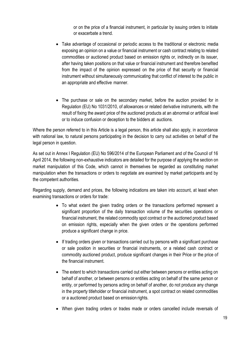or on the price of a financial instrument, in particular by issuing orders to initiate or exacerbate a trend.

- Take advantage of occasional or periodic access to the traditional or electronic media exposing an opinion on a value or financial instrument or cash contract relating to related commodities or auctioned product based on emission rights or, indirectly on its issuer, after having taken positions on that value or financial instrument and therefore benefited from the impact of the opinion expressed on the price of that security or financial instrument without simultaneously communicating that conflict of interest to the public in an appropriate and effective manner.
- The purchase or sale on the secondary market, before the auction provided for in Regulation (EU) No 1031/2010, of allowances or related derivative instruments, with the result of fixing the award price of the auctioned products at an abnormal or artificial level or to induce confusion or deception to the bidders at auctions.

Where the person referred to in this Article is a legal person, this article shall also apply, in accordance with national law, to natural persons participating in the decision to carry out activities on behalf of the legal person in question.

As set out in Annex I Regulation (EU) No 596/2014 of the European Parliament and of the Council of 16 April 2014, the following non-exhaustive indicators are detailed for the purpose of applying the section on market manipulation of this Code, which cannot in themselves be regarded as constituting market manipulation when the transactions or orders to negotiate are examined by market participants and by the competent authorities.

Regarding supply, demand and prices, the following indications are taken into account, at least when examining transactions or orders for trade:

- To what extent the given trading orders or the transactions performed represent a significant proportion of the daily transaction volume of the securities operations or financial instrument, the related commodity spot contract or the auctioned product based on emission rights, especially when the given orders or the operations performed produce a significant change in price.
- If trading orders given or transactions carried out by persons with a significant purchase or sale position in securities or financial instruments, or a related cash contract or commodity auctioned product, produce significant changes in their Price or the price of the financial instrument.
- The extent to which transactions carried out either between persons or entities acting on behalf of another, or between persons or entities acting on behalf of the same person or entity, or performed by persons acting on behalf of another, do not produce any change in the property titleholder or financial instrument, a spot contract on related commodities or a auctioned product based on emission rights.
- When given trading orders or trades made or orders cancelled include reversals of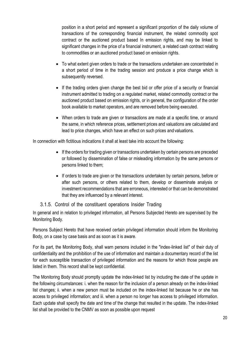position in a short period and represent a significant proportion of the daily volume of transactions of the corresponding financial instrument, the related commodity spot contract or the auctioned product based In emission rights, and may be linked to significant changes in the price of a financial instrument, a related cash contract relating to commodities or an auctioned product based on emission rights.

- To what extent given orders to trade or the transactions undertaken are concentrated in a short period of time in the trading session and produce a price change which is subsequently reversed.
- If the trading orders given change the best bid or offer price of a security or financial instrument admitted to trading on a regulated market, related commodity contract or the auctioned product based on emission rights, or in general, the configuration of the order book available to market operators, and are removed before being executed.
- When orders to trade are given or transactions are made at a specific time, or around the same, in which reference prices, settlement prices and valuations are calculated and lead to price changes, which have an effect on such prices and valuations.

In connection with fictitious indications it shall at least take into account the following:

- If the orders for trading given or transactions undertaken by certain persons are preceded or followed by dissemination of false or misleading information by the same persons or persons linked to them;
- If orders to trade are given or the transactions undertaken by certain persons, before or after such persons, or others related to them, develop or disseminate analysis or investment recommendations that are erroneous, interested or that can be demonstrated that they are influenced by a relevant interest.

#### 3.1.5. Control of the constituent operations Insider Trading

In general and in relation to privileged information, all Persons Subjected Hereto are supervised by the Monitoring Body.

Persons Subject Hereto that have received certain privileged information should inform the Monitoring Body, on a case by case basis and as soon as it is aware.

For its part, the Monitoring Body, shall warn persons included in the "index-linked list" of their duty of confidentiality and the prohibition of the use of information and maintain a documentary record of the list for each susceptible transaction of privileged information and the reasons for which those people are listed in them. This record shall be kept confidential.

The Monitoring Body should promptly update the index-linked list by including the date of the update in the following circumstances: i. when the reason for the inclusion of a person already on the index-linked list changes; ii. when a new person must be included on the index-linked list because he or she has access to privileged information; and iii. when a person no longer has access to privileged information. Each update shall specify the date and time of the change that resulted in the update. The index-linked list shall be provided to the CNMV as soon as possible upon request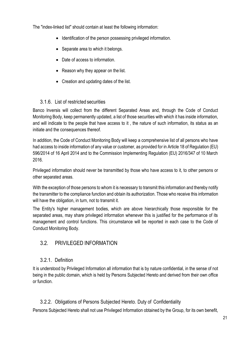<span id="page-20-3"></span><span id="page-20-0"></span>The "index-linked list" should contain at least the following information:

- Identification of the person possessing privileged information.
- Separate area to which it belongs.
- Date of access to information.
- Reason why they appear on the list.
- Creation and updating dates of the list.

#### 3.1.6. List of restricted securities

<span id="page-20-1"></span>Banco Inversis will collect from the different Separated Areas and, through the Code of Conduct Monitoring Body, keep permanently updated, a list of those securities with which it has inside information, and will indicate to the people that have access to it , the nature of such information, its status as an initiate and the consequences thereof.

In addition, the Code of Conduct Monitoring Body will keep a comprehensive list of all persons who have had access to inside information of any value or customer, as provided for in Article 18 of Regulation (EU) 596/2014 of 16 April 2014 and to the Commission Implementing Regulation (EU) 2016/347 of 10 March 2016.

Privileged information should never be transmitted by those who have access to it, to other persons or other separated areas.

With the exception of those persons to whom it is necessary to transmit this information and thereby notify the transmitter to the compliance function and obtain its authorization. Those who receive this information will have the obligation, in turn, not to transmit it.

The Entity's higher management bodies, which are above hierarchically those responsible for the separated areas, may share privileged information whenever this is justified for the performance of its management and control functions. This circumstance will be reported in each case to the Code of Conduct Monitoring Body.

# <span id="page-20-2"></span>3.2. PRIVILEGED INFORMATION

# 3.2.1. Definition

It is understood by Privileged Information all information that is by nature confidential, in the sense of not being in the public domain, which is held by Persons Subjected Hereto and derived from their own office or function.

# 3.2.2. Obligations of Persons Subjected Hereto. Duty of Confidentiality

<span id="page-20-4"></span>Persons Subjected Hereto shall not use Privileged Information obtained by the Group, for its own benefit,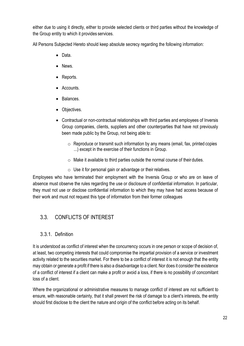<span id="page-21-1"></span>either due to using it directly, either to provide selected clients or third parties without the knowledge of the Group entity to which it provides services.

All Persons Subjected Hereto should keep absolute secrecy regarding the following information:

- Data.
- News.
- Reports.
- Accounts.
- Balances.
- Objectives.
- Contractual or non-contractual relationships with third parties and employees of Inversis Group companies, clients, suppliers and other counterparties that have not previously been made public by the Group, not being able to:
	- $\circ$  Reproduce or transmit such information by any means (email, fax, printed copies ...) except in the exercise of their functions in Group.
	- $\circ$  Make it available to third parties outside the normal course of their duties.
	- $\circ$  Use it for personal gain or advantage or their relatives.

Employees who have terminated their employment with the Inversis Group or who are on leave of absence must observe the rules regarding the use or disclosure of confidential information. In particular, they must not use or disclose confidential information to which they may have had access because of their work and must not request this type of information from their former colleagues

# <span id="page-21-0"></span>3.3. CONFLICTS OF INTEREST

#### 3.3.1. Definition

It is understood as conflict of interest when the concurrency occurs in one person or scope of decision of, at least, two competing interests that could compromise the impartial provision of a service or investment activity related to the securities market. For there to be a conflict of interest it is not enough that the entity may obtain or generate a profit if there is also a disadvantage to a client. Nor does it consider the existence of a conflict of interest if a client can make a profit or avoid a loss, if there is no possibility of concomitant loss of a client.

Where the organizational or administrative measures to manage conflict of interest are not sufficient to ensure, with reasonable certainty, that it shall prevent the risk of damage to a client's interests, the entity should first disclose to the client the nature and origin of the conflict before acting on its behalf.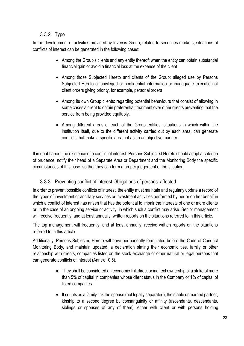# 3.3.2. Type

<span id="page-22-0"></span>In the development of activities provided by Inversis Group, related to securities markets, situations of conflicts of interest can be generated in the following cases:

- Among the Group's clients and any entity thereof: when the entity can obtain substantial financial gain or avoid a financial loss at the expense of the client
- Among those Subjected Hereto and clients of the Group: alleged use by Persons Subjected Hereto of privileged or confidential information or inadequate execution of client orders giving priority, for example, personal orders
- Among its own Group clients: regarding potential behaviours that consist of allowing in some cases a client to obtain preferential treatment over other clients preventing that the service from being provided equitably.
- Among different areas of each of the Group entities: situations in which within the institution itself, due to the different activity carried out by each area, can generate conflicts that make a specific area not act in an objective manner.

If in doubt about the existence of a conflict of interest, Persons Subjected Hereto should adopt a criterion of prudence, notify their head of a Separate Area or Department and the Monitoring Body the specific circumstances of this case, so that they can form a proper judgement of the situation.

# 3.3.3. Preventing conflict of interest Obligations of persons affected

In order to prevent possible conflicts of interest, the entity must maintain and regularly update a record of the types of investment or ancillary services or investment activities performed by her or on her behalf in which a conflict of interest has arisen that has the potential to impair the interests of one or more clients or, in the case of an ongoing service or activity, in which such a conflict may arise. Senior management will receive frequently, and at least annually, written reports on the situations referred to in this article.

The top management will frequently, and at least annually, receive written reports on the situations referred to in this article.

Additionally, Persons Subjected Hereto will have permanently formulated before the Code of Conduct Monitoring Body, and maintain updated, a declaration stating their economic ties, family or other relationship with clients, companies listed on the stock exchange or other natural or legal persons that can generate conflicts of interest (Annex 10.5).

- They shall be considered an economic link direct or indirect ownership of a stake of more than 5% of capital in companies whose client status in the Company or 1% of capital of listed companies.
- It counts as a family link the spouse (not legally separated), the stable unmarried partner, kinship to a second degree by consanguinity or affinity (ascendants, descendants, siblings or spouses of any of them), either with client or with persons holding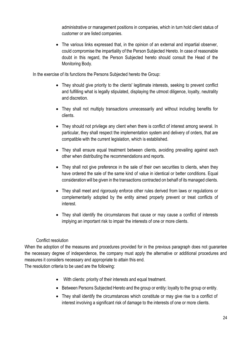administrative or management positions in companies, which in turn hold client status of customer or are listed companies.

• The various links expressed that, in the opinion of an external and impartial observer, could compromise the impartiality of the Person Subjected Hereto. In case of reasonable doubt in this regard, the Person Subjected hereto should consult the Head of the Monitoring Body.

In the exercise of its functions the Persons Subjected hereto the Group:

- They should give priority to the clients' legitimate interests, seeking to prevent conflict and fulfilling what is legally stipulated, displaying the utmost diligence, loyalty, neutrality and discretion.
- They shall not multiply transactions unnecessarily and without including benefits for clients.
- They should not privilege any client when there is conflict of interest among several. In particular, they shall respect the implementation system and delivery of orders, that are compatible with the current legislation, which is established.
- They shall ensure equal treatment between clients, avoiding prevailing against each other when distributing the recommendations and reports.
- They shall not give preference in the sale of their own securities to clients, when they have ordered the sale of the same kind of value in identical or better conditions. Equal consideration will be given in the transactions contracted on behalf of its managed clients.
- They shall meet and rigorously enforce other rules derived from laws or regulations or complementarily adopted by the entity aimed properly prevent or treat conflicts of interest.
- They shall identify the circumstances that cause or may cause a conflict of interests implying an important risk to impair the interests of one or more clients.

#### Conflict resolution

When the adoption of the measures and procedures provided for in the previous paragraph does not guarantee the necessary degree of independence, the company must apply the alternative or additional procedures and measures it considers necessary and appropriate to attain this end.

The resolution criteria to be used are the following:

- With clients: priority of their interests and equal treatment.
- Between Persons Subjected Hereto and the group or entity: loyalty to the group or entity.
- They shall identify the circumstances which constitute or may give rise to a conflict of interest involving a significant risk of damage to the interests of one or more clients.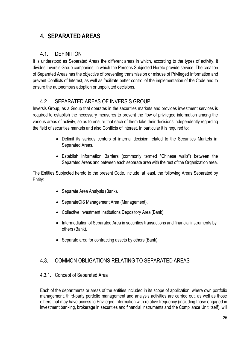# <span id="page-24-0"></span>**4. SEPARATEDAREAS**

#### 4.1. DEFINITION

<span id="page-24-1"></span>It is understood as Separated Areas the different areas in which, according to the types of activity, it divides Inversis Group companies, in which the Persons Subjected Hereto provide service. The creation of Separated Areas has the objective of preventing transmission or misuse of Privileged Information and prevent Conflicts of Interest, as well as facilitate better control of the implementation of the Code and to ensure the autonomous adoption or unpolluted decisions.

# 4.2. SEPARATED AREAS OF INVERSIS GROUP

Inversis Group, as a Group that operates in the securities markets and provides investment services is required to establish the necessary measures to prevent the flow of privileged information among the various areas of activity, so as to ensure that each of them take their decisions independently regarding the field of securities markets and also Conflicts of interest. In particular it is required to:

- Delimit its various centers of internal decision related to the Securities Markets in Separated Areas.
- Establish Information Barriers (commonly termed "Chinese walls") between the Separated Areas and between each separate area with the rest of the Organization area.

The Entities Subjected hereto to the present Code, include, at least, the following Areas Separated by Entity:

- Separate Area Analysis (Bank).
- SeparateCIS Management Area (Management).
- Collective Investment Institutions Depository Area (Bank)
- Intermediation of Separated Area in securities transactions and financial instruments by others (Bank).
- Separate area for contracting assets by others (Bank).

# <span id="page-24-2"></span>4.3. COMMON OBLIGATIONS RELATING TO SEPARATED AREAS

#### 4.3.1. Concept of Separated Area

Each of the departments or areas of the entities included in its scope of application, where own portfolio management, third-party portfolio management and analysis activities are carried out, as well as those others that may have access to Privileged Information with relative frequency (including those engaged in investment banking, brokerage in securities and financial instruments and the Compliance Unit itself), will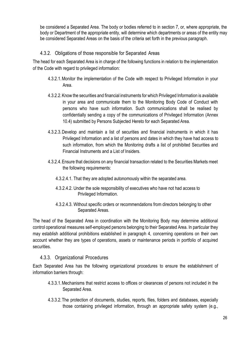be considered a Separated Area. The body or bodies referred to in section 7, or, where appropriate, the body or Department of the appropriate entity, will determine which departments or areas of the entity may be considered Separated Areas on the basis of the criteria set forth in the previous paragraph.

#### 4.3.2. Obligations of those responsible for Separated Areas

The head for each Separated Area is in charge of the following functions in relation to the implementation of the Code with regard to privileged information:

- 4.3.2.1.Monitor the implementation of the Code with respect to Privileged Information in your Area.
- 4.3.2.2.Know the securities and financial instruments for which Privileged Information is available in your area and communicate them to the Monitoring Body Code of Conduct with persons who have such information. Such communications shall be realised by confidentially sending a copy of the communications of Privileged Information (Annex 10.4) submitted by Persons Subjected Hereto for each Separated Area.
- 4.3.2.3.Develop and maintain a list of securities and financial instruments in which it has Privileged Information and a list of persons and dates in which they have had access to such information, from which the Monitoring drafts a list of prohibited Securities and Financial Instruments and a List of Insiders.
- 4.3.2.4.Ensure that decisions on any financial transaction related to the Securities Markets meet the following requirements:
	- 4.3.2.4.1. That they are adopted autonomously within the separated area.
	- 4.3.2.4.2. Under the sole responsibility of executives who have not had access to Privileged Information.
	- 4.3.2.4.3. Without specific orders or recommendations from directors belonging to other Separated Areas.

The head of the Separated Area in coordination with the Monitoring Body may determine additional control operational measures self-employed persons belonging to their Separated Area. In particular they may establish additional prohibitions established in paragraph 4, concerning operations on their own account whether they are types of operations, assets or maintenance periods in portfolio of acquired securities.

#### 4.3.3. Organizational Procedures

<span id="page-25-0"></span>Each Separated Area has the following organizational procedures to ensure the establishment of information barriers through:

- 4.3.3.1.Mechanisms that restrict access to offices or clearances of persons not included in the Separated Area.
- 4.3.3.2.The protection of documents, studies, reports, files, folders and databases, especially those containing privileged information, through an appropriate safety system (e.g.,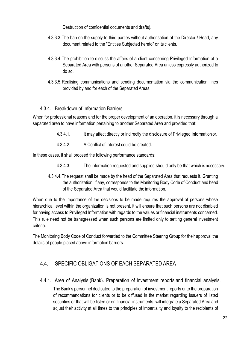Destruction of confidential documents and drafts).

- <span id="page-26-2"></span>4.3.3.3.The ban on the supply to third parties without authorisation of the Director / Head, any document related to the "Entities Subjected hereto" or its clients.
- 4.3.3.4.The prohibition to discuss the affairs of a client concerning Privileged Information of a Separated Area with persons of another Separated Area unless expressly authorized to do so.
- 4.3.3.5.Realising communications and sending documentation via the communication lines provided by and for each of the Separated Areas.

#### 4.3.4. Breakdown of Information Barriers

<span id="page-26-0"></span>When for professional reasons and for the proper development of an operation, it is necessary through a separated area to have information pertaining to another Separated Area and provided that:

- 4.3.4.1. It may affect directly or indirectly the disclosure of Privileged Information or,
- 4.3.4.2. A Conflict of Interest could be created.

In these cases, it shall proceed the following performance standards:

- 4.3.4.3. The information requested and supplied should only be that which is necessary.
- 4.3.4.4.The request shall be made by the head of the Separated Area that requests it. Granting the authorization, if any, corresponds to the Monitoring Body Code of Conduct and head of the Separated Area that would facilitate the information.

When due to the importance of the decisions to be made requires the approval of persons whose hierarchical level within the organization is not present, it will ensure that such persons are not disabled for having access to Privileged Information with regards to the values or financial instruments concerned. This rule need not be transgressed when such persons are limited only to setting general investment criteria.

The Monitoring Body Code of Conduct forwarded to the Committee Steering Group for their approval the details of people placed above information barriers.

# <span id="page-26-1"></span>4.4. SPECIFIC OBLIGATIONS OF EACH SEPARATED AREA

4.4.1. Area of Analysis (Bank). Preparation of investment reports and financial analysis. The Bank's personnel dedicated to the preparation of investment reports or to the preparation of recommendations for clients or to be diffused in the market regarding issuers of listed securities or that will be listed or on financial instruments, will integrate a Separated Area and adjust their activity at all times to the principles of impartiality and loyalty to the recipients of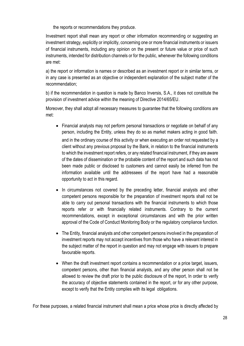the reports or recommendations they produce.

Investment report shall mean any report or other information recommending or suggesting an investment strategy, explicitly or implicitly, concerning one or more financial instruments or issuers of financial instruments, including any opinion on the present or future value or price of such instruments, intended for distribution channels or for the public, whenever the following conditions are met:

a) the report or information is names or described as an investment report or in similar terms, or in any case is presented as an objective or independent explanation of the subject matter of the recommendation;

b) if the recommendation in question is made by Banco Inversis, S.A., it does not constitute the provision of investment advice within the meaning of Directive 2014/65/EU.

Moreover, they shall adopt all necessary measures to guarantee that the following conditions are met:

- Financial analysts may not perform personal transactions or negotiate on behalf of any person, including the Entity, unless they do so as market makers acting in good faith. and in the ordinary course of this activity or when executing an order not requested by a client without any previous proposal by the Bank, in relation to the financial instruments to which the investment report refers, or any related financial instrument, if they are aware of the dates of dissemination or the probable content of the report and such data has not been made public or disclosed to customers and cannot easily be inferred from the information available until the addressees of the report have had a reasonable opportunity to act in this regard.
- In circumstances not covered by the preceding letter, financial analysts and other competent persons responsible for the preparation of investment reports shall not be able to carry out personal transactions with the financial instruments to which those reports refer or with financially related instruments. Contrary to the current recommendations, except in exceptional circumstances and with the prior written approval of the Code of Conduct Monitoring Body or the regulatory compliance function.
- The Entity, financial analysts and other competent persons involved in the preparation of investment reports may not accept incentives from those who have a relevant interest in the subject matter of the report in question and may not engage with issuers to prepare favourable reports.
- When the draft investment report contains a recommendation or a price target, issuers, competent persons, other than financial analysts, and any other person shall not be allowed to review the draft prior to the public disclosure of the report, In order to verify the accuracy of objective statements contained in the report, or for any other purpose, except to verify that the Entity complies with its legal obligations.

For these purposes, a related financial instrument shall mean a price whose price is directly affected by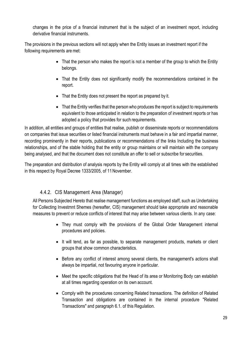changes in the price of a financial instrument that is the subject of an investment report, including derivative financial instruments.

The provisions in the previous sections will not apply when the Entity issues an investment report if the following requirements are met:

- That the person who makes the report is not a member of the group to which the Entity belongs.
- That the Entity does not significantly modify the recommendations contained in the report.
- That the Entity does not present the report as prepared by it.
- That the Entity verifies that the person who produces the report is subject to requirements equivalent to those anticipated in relation to the preparation of investment reports or has adopted a policy that provides for such requirements.

In addition, all entities and groups of entities that realise, publish or disseminate reports or recommendations on companies that issue securities or listed financial instruments must behave in a fair and impartial manner, recording prominently in their reports, publications or recommendations of the links Including the business relationships, and of the stable holding that the entity or group maintains or will maintain with the company being analysed, and that the document does not constitute an offer to sell or subscribe for securities.

The preparation and distribution of analysis reports by the Entity will comply at all times with the established in this respect by Royal Decree 1333/2005, of 11November.

#### <span id="page-28-0"></span>4.4.2. CIS Management Area (Manager)

All Persons Subjected Hereto that realise management functions as employed staff, such as Undertaking for Collecting Investmnt Shemes (hereafter, CIS) management should take appropriate and reasonable measures to prevent or reduce conflicts of interest that may arise between various clients. In any case:

- They must comply with the provisions of the Global Order Management internal procedures and policies.
- It will tend, as far as possible, to separate management products, markets or client groups that show common characteristics.
- Before any conflict of interest among several clients, the management's actions shall always be impartial, not favouring anyone in particular.
- Meet the specific obligations that the Head of its area or Monitoring Body can establish at all times regarding operation on its own account.
- Comply with the procedures concerning Related transactions. The definition of Related Transaction and obligations are contained in the internal procedure "Related Transactions" and paragraph 6.1. of this Regulation.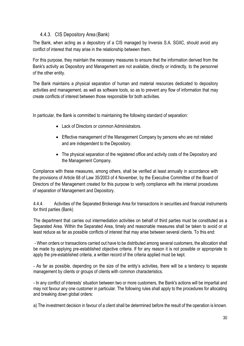#### 4.4.3. CIS Depository Area (Bank)

<span id="page-29-0"></span>The Bank, when acting as a depository of a CIS managed by Inversis S.A. SGIIC, should avoid any conflict of interest that may arise in the relationship between them.

For this purpose, they maintain the necessary measures to ensure that the information derived from the Bank's activity as Depository and Management are not available, directly or indirectly, to the personnel of the other entity.

The Bank maintains a physical separation of human and material resources dedicated to depository activities and management, as well as software tools, so as to prevent any flow of information that may create conflicts of interest between those responsible for both activities.

In particular, the Bank is committed to maintaining the following standard of separation:

- Lack of Directors or common Administrators.
- Effective management of the Management Company by persons who are not related and are independent to the Depository.
- The physical separation of the registered office and activity costs of the Depository and the Management Company.

Compliance with these measures, among others, shall be verified at least annually in accordance with the provisions of Article 68 of Law 35/2003 of 4 November, by the Executive Committee of the Board of Directors of the Management created for this purpose to verify compliance with the internal procedures of separation of Management and Depository.

4.4.4. Activities of the Separated Brokerage Area for transactions in securities and financial instruments for third parties (Bank)

The department that carries out intermediation activities on behalf of third parties must be constituted as a Separated Area. Within the Separated Area, timely and reasonable measures shall be taken to avoid or at least reduce as far as possible conflicts of interest that may arise between several clients. To this end:

- When orders or transactions carried out have to be distributed among several customers, the allocation shall be made by applying pre-established objective criteria. If for any reason it is not possible or appropriate to apply the pre-established criteria, a written record of the criteria applied must be kept.

- As far as possible, depending on the size of the entity's activities, there will be a tendency to separate management by clients or groups of clients with common characteristics.

- In any conflict of interests' situation between two or more customers, the Bank's actions will be impartial and may not favour any one customer in particular. The following rules shall apply to the procedures for allocating and breaking down global orders:

a) The investment decision in favour of a client shall be determined before the result of the operation is known.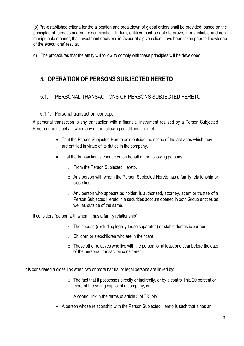<span id="page-30-1"></span>(b) Pre-established criteria for the allocation and breakdown of global orders shall be provided, based on the principles of fairness and non-discrimination. In turn, entities must be able to prove, in a verifiable and nonmanipulable manner, that investment decisions in favour of a given client have been taken prior to knowledge of the executions' results.

d) The procedures that the entity will follow to comply with these principles will be developed.

# **5. OPERATION OF PERSONS SUBJECTED HERETO**

# <span id="page-30-0"></span>5.1. PERSONAL TRANSACTIONS OF PERSONS SUBJECTED HERETO

#### 5.1.1. Personal transaction concept

A personal transaction is any transaction with a financial instrument realised by a Person Subjected Hereto or on its behalf, when any of the following conditions are met:

- That the Person Subjected Hereto acts outside the scope of the activities which they are entitled in virtue of its duties in the company.
- That the transaction is conducted on behalf of the following persons:
	- o From the Person Subjected Hereto.
	- o Any person with whom the Person Subjected Hereto has a family relationship or close ties.
	- $\circ$  Any person who appears as holder, is authorized, attorney, agent or trustee of a Person Subjected Hereto in a securities account opened in both Group entities as well as outside of the same.

It considers "person with whom it has a family relationship":

- $\circ$  The spouse (excluding legally those separated) or stable domestic partner.
- $\circ$  Children or stepchildren who are in their care.
- $\circ$  Those other relatives who live with the person for at least one year before the date of the personal transaction considered.

It is considered a close link when two or more natural or legal persons are linked by:

- $\circ$  The fact that it possesses directly or indirectly, or by a control link, 20 percent or more of the voting capital of a company, or,
- $\circ$  A control link in the terms of article 5 of TRLMV.
- A person whose relationship with the Person Subjected Hereto is such that it has an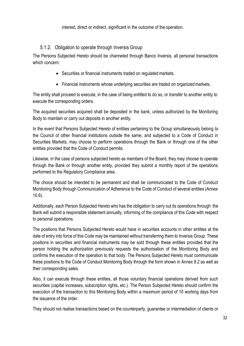interest, direct or indirect, significant in the outcome of the operation.

#### 5.1.2. Obligation to operate through Inversis Group

<span id="page-31-0"></span>The Persons Subjected Hereto should be channeled through Banco Inversis, all personal transactions which concern:

- Securities or financial instruments traded on regulated markets.
- Financial instruments whose underlying securities are traded on organized markets.

The entity shall proceed to execute, in the case of being entitled to do so, or transfer to another entity to execute the corresponding orders.

The acquired securities acquired shall be deposited in the bank, unless authorized by the Monitoring Body to maintain or carry out deposits in another entity.

In the event that Persons Subjected Hereto of entities pertaining to the Group simultaneously belong to the Council of other financial institutions outside the same, and subjected to a Code of Conduct in Securities Markets, may choose to perform operations through the Bank or through one of the other entities provided that the Code of Conduct permits.

Likewise, in the case of persons subjected hereto as members of the Board, they may choose to operate through the Bank or through another entity, provided they submit a monthly report of the operations performed to the Regulatory Compliance area.

The choice should be intended to be permanent and shall be communicated to the Code of Conduct Monitoring Body through Communication of Adherence to the Code of Conduct of several entities (Annex 10.6).

Additionally, each Person Subjected Hereto who has the obligation to carry out its operations through the Bank will submit a responsible statement annually, informing of the compliance of this Code with respect to personal operations.

The positions that Persons Subjected Hereto would have in securities accounts in other entities at the date of entry into force of this Code may be maintained without transferring them to Inversis Group. These positions in securities and financial instruments may be sold through these entities provided that the person holding the authorization previously requests the authorisation of the Monitoring Body and confirms the execution of the operation to that body. The Persons Subjected Hereto must communicate these positions to the Code of Conduct Monitoring Body through the form shown in Annex 9.2 as well as their corresponding sales.

Also, it can execute through these entities, all those voluntary financial operations derived from such securities (capital increases, subscription rights, etc.). The Person Subjected Hereto should confirm the execution of the transaction to this Monitoring Body within a maximum period of 10 working days from the issuance of the order.

They should not realise transactions based on the counterparty, guarantee or intermediation of clients or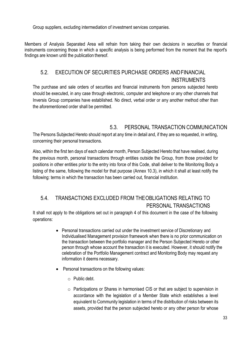Group suppliers, excluding intermediation of investment services companies.

Members of Analysis Separated Area will refrain from taking their own decisions in securities or financial instruments concerning those in which a specific analysis is being performed from the moment that the report's findings are known until the publication thereof.

# <span id="page-32-0"></span>5.2. EXECUTION OF SECURITIES PURCHASE ORDERS ANDFINANCIAL **INSTRUMENTS**

The purchase and sale orders of securities and financial instruments from persons subjected hereto should be executed, in any case through electronic, computer and telephone or any other channels that Inversis Group companies have established. No direct, verbal order or any another method other than the aforementioned order shall be permitted.

# 5.3. PERSONAL TRANSACTION COMMUNICATION

<span id="page-32-1"></span>The Persons Subjected Hereto should report at any time in detail and, if they are so requested, in writing, concerning their personal transactions.

Also, within the first ten days of each calendar month, Person Subjected Hereto that have realised, during the previous month, personal transactions through entities outside the Group, from those provided for positions in other entities prior to the entry into force of this Code, shall deliver to the Monitoring Body a listing of the same, following the model for that purpose (Annex 10.3), in which it shall at least notify the following: terms in which the transaction has been carried out, financial institution.

# <span id="page-32-2"></span>5.4. TRANSACTIONS EXCLUDED FROM THEOBLIGATIONS RELATING TO PERSONAL TRANSACTIONS

It shall not apply to the obligations set out in paragraph 4 of this document in the case of the following operations:

- Personal transactions carried out under the investment service of Discretionary and Individualised Management provision framework when there is no prior communication on the transaction between the portfolio manager and the Person Subjected Hereto or other person through whose account the transaction it is executed. However, it should notify the celebration of the Portfolio Management contract and Monitoring Body may request any information it deems necessary.
- Personal transactions on the following values:
	- o Public debt.
	- o Participations or Shares in harmonised CIS or that are subject to supervision in accordance with the legislation of a Member State which establishes a level equivalent to Community legislation in terms of the distribution of risks between its assets, provided that the person subjected hereto or any other person for whose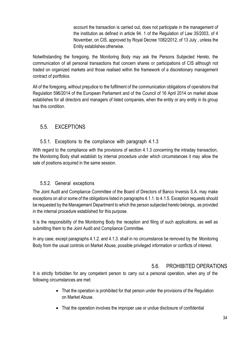account the transaction is carried out, does not participate in the management of the institution as defined in article 94. 1 of the Regulation of Law 35/2003, of 4 November, on CIS, approved by Royal Decree 1082/2012, of 13 July , unless the Entity establishes otherwise.

Notwithstanding the foregoing, the Monitoring Body may ask the Persons Subjected Hereto, the communication of all personal transactions that concern shares or participations of CIS although not traded on organized markets and those realised within the framework of a discretionary management contract of portfolios.

All of the foregoing, without prejudice to the fulfilment of the communication obligations of operations that Regulation 596/2014 of the European Parliament and of the Council of 16 April 2014 on market abuse establishes for all directors and managers of listed companies, when the entity or any entity in its group has this condition.

# <span id="page-33-0"></span>5.5. EXCEPTIONS

#### 5.5.1. Exceptions to the compliance with paragraph 4.1.3

With regard to the compliance with the provisions of section 4.1.3 concerning the intraday transaction, the Monitoring Body shall establish by internal procedure under which circumstances it may allow the sale of positions acquired in the same session.

#### 5.5.2. General exceptions

<span id="page-33-1"></span>The Joint Audit and Compliance Committee of the Board of Directors of Banco Inversis S.A. may make exceptions on all or some of the obligations listed in paragraphs 4.1.1. to 4.1.5. Exception requests should be requested by the Management Department to which the person subjected hereto belongs, as provided in the internal procedure established for this purpose.

It is the responsibility of the Monitoring Body the reception and filing of such applications, as well as submitting them to the Joint Audit and Compliance Committee.

In any case, except paragraphs 4.1.2. and 4.1.3. shall in no circumstance be removed by the Monitoring Body from the usual controls on Market Abuse, possible privileged information or conflicts of interest.

# 5.6. PROHIBITED OPERATIONS

<span id="page-33-2"></span>It is strictly forbidden for any competent person to carry out a personal operation, when any of the following circumstances are met:

- That the operation is prohibited for that person under the provisions of the Regulation on Market Abuse.
- That the operation involves the improper use or undue disclosure of confidential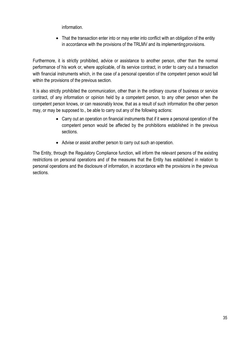information.

• That the transaction enter into or may enter into conflict with an obligation of the entity in accordance with the provisions of the TRLMV and its implementingprovisions.

Furthermore, it is strictly prohibited, advice or assistance to another person, other than the normal performance of his work or, where applicable, of its service contract, in order to carry out a transaction with financial instruments which, in the case of a personal operation of the competent person would fall within the provisions of the previous section.

It is also strictly prohibited the communication, other than in the ordinary course of business or service contract, of any information or opinion held by a competent person, to any other person when the competent person knows, or can reasonably know, that as a result of such information the other person may, or may be supposed to., be able to carry out any of the following actions:

- Carry out an operation on financial instruments that if it were a personal operation of the competent person would be affected by the prohibitions established in the previous sections.
- Advise or assist another person to carry out such an operation.

The Entity, through the Regulatory Compliance function, will inform the relevant persons of the existing restrictions on personal operations and of the measures that the Entity has established in relation to personal operations and the disclosure of information, in accordance with the provisions in the previous sections.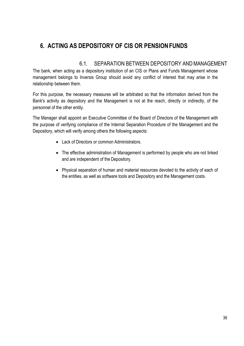# **6. ACTING AS DEPOSITORY OF CIS OR PENSIONFUNDS**

#### 6.1. SEPARATION BETWEEN DEPOSITORY ANDMANAGEMENT

<span id="page-35-0"></span>The bank, when acting as a depository institution of an CIS or Plans and Funds Management whose management belongs to Inversis Group should avoid any conflict of interest that may arise in the relationship between them.

For this purpose, the necessary measures will be arbitrated so that the information derived from the Bank's activity as depository and the Management is not at the reach, directly or indirectly, of the personnel of the other entity.

The Manager shall appoint an Executive Committee of the Board of Directors of the Management with the purpose of verifying compliance of the Internal Separation Procedure of the Management and the Depository, which will verify among others the following aspects:

- Lack of Directors or common Administrators.
- The effective administration of Management is performed by people who are not linked and are independent of the Depository.
- Physical separation of human and material resources devoted to the activity of each of the entities, as well as software tools and Depository and the Management costs.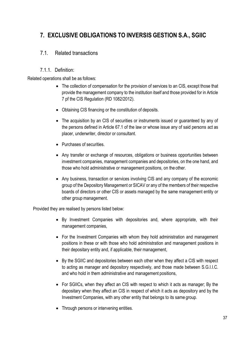# <span id="page-36-2"></span><span id="page-36-0"></span>**7. EXCLUSIVE OBLIGATIONS TO INVERSIS GESTION S.A., SGIIC**

#### <span id="page-36-1"></span>7.1. Related transactions

#### 7.1.1. Definition:

Related operations shall be as follows:

- The collection of compensation for the provision of services to an CIS, except those that provide the management company to the institution itself and those provided for in Article 7 pf the CIS Regulation (RD 1082/2012).
- Obtaining CIS financing or the constitution of deposits.
- The acquisition by an CIS of securities or instruments issued or guaranteed by any of the persons defined in Article 67.1 of the law or whose issue any of said persons act as placer, underwriter, director or consultant.
- Purchases of securities.
- Any transfer or exchange of resources, obligations or business opportunities between investment companies, management companies and depositories, on the one hand, and those who hold administrative or management positions, on the other.
- Any business, transaction or services involving CIS and any company of the economic group of the Depository Management or SICAV or any of the members of their respective boards of directors or other CIS or assets managed by the same management entity or other group management.

Provided they are realised by persons listed below:

- By Investment Companies with depositories and, where appropriate, with their management companies,
- For the Investment Companies with whom they hold administration and management positions in these or with those who hold administration and management positions in their depositary entity and, if applicable, their management,
- By the SGIIC and depositories between each other when they affect a CIS with respect to acting as manager and depository respectively, and those made between S.G.I.I.C. and who hold in them administrative and management positions,
- For SGIICs, when they affect an CIS with respect to which it acts as manager; By the depositary when they affect an CIS in respect of which it acts as depository and by the Investment Companies, with any other entity that belongs to its same group.
- Through persons or intervening entities.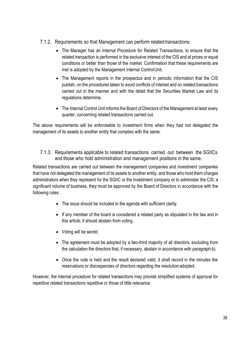- <span id="page-37-0"></span>7.1.2. Requirements so that Management can perform related transactions:
	- The Manager has an Internal Procedure for Related Transactions, to ensure that the related transaction is performed in the exclusive interest of the CIS and at prices or equal conditions or better than those of the market. Confirmation that these requirements are met is adopted by the Management Internal ControlUnit.
	- The Management reports in the prospectus and in periodic information that the CIS publish, on the procedures taken to avoid conflicts of interest and on related transactions carried out in the manner and with the detail that the Securities Market Law and its regulations determine.
	- The Internal Control Unit informs the Board of Directors of the Management at least every quarter, concerning related transactions carried out.

The above requirements will be enforceable to investment firms when they had not delegated the management of its assets to another entity that complies with the same.

<span id="page-37-1"></span>7.1.3. Requirements applicable to related transactions carried out between the SGIICs and those who hold administration and management positions in the same.

Related transactions are carried out between the management companies and investment companies that have not delegated the management of its assets to another entity, and those who hold them charges administrators when they represent for the SGIIC or the investment company or to administer the CIS, a significant volume of business, they must be approved by the Board of Directors in accordance with the following rules:

- The issue should be included in the agenda with sufficient clarity.
- If any member of the board is considered a related party as stipulated in the law and in this article, it should abstain from voting.
- Voting will be secret.
- The agreement must be adopted by a two-third majority of all directors, excluding from the calculation the directors that, if necessary, abstain in accordance with paragraph b).
- Once the vote is held and the result declared valid, it shall record in the minutes the reservations or discrepancies of directors regarding the resolution adopted.

<span id="page-37-2"></span>However, the internal procedure for related transactions may provide simplified systems of approval for repetitive related transactions repetitive or those of little relevance.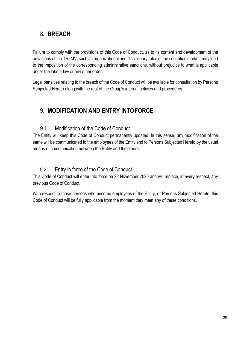# <span id="page-38-0"></span>**8. BREACH**

Failure to comply with the provisions of this Code of Conduct, as to its content and development of the provisions of the TRLMV, such as organizational and disciplinary rules of the securities market, may lead to the imposition of the corresponding administrative sanctions, without prejudice to what is applicable under the labour law or any other order.

Legal penalties relating to the breach of the Code of Conduct will be available for consultation by Persons Subjected Hereto along with the rest of the Group's internal policies and procedures.

# <span id="page-38-1"></span>**9. MODIFICATION AND ENTRY INTOFORCE**

# 9.1. Modification of the Code of Conduct

<span id="page-38-2"></span>The Entity will keep this Code of Conduct permanently updated. In this sense, any modification of the same will be communicated to the employees of the Entity and to Persons Subjected Hereto by the usual means of communication between the Entity and the others.

# 9.2. Entry in force of the Code of Conduct

<span id="page-38-3"></span>This Code of Conduct will enter into force on 22 November 2020 and will replace, in every respect, any previous Code of Conduct.

With respect to those persons who become employees of the Entity, or Persons Subjected Hereto, this Code of Conduct will be fully applicable from the moment they meet any of these conditions.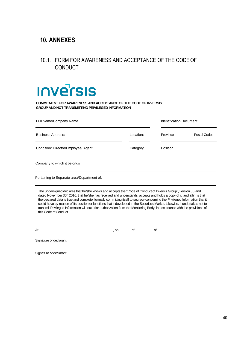# **10. ANNEXES**

# <span id="page-39-0"></span>10.1. FORM FOR AWARENESS AND ACCEPTANCE OF THE CODEOF **CONDUCT**

# **INVErSIS**

**COMMITMENT FOR AWARENESS AND ACCEPTANCE OF THE CODE OF INVERSIS GROUP AND NOT TRANSMITTING PRIVILEGED INFORMATION**

| Full Name/Company Name              |           | <b>Identification Document</b> |              |  |
|-------------------------------------|-----------|--------------------------------|--------------|--|
| <b>Business Address:</b>            | Location: | Province                       | Postal Code: |  |
| Condition: Director/Employee/ Agent | Category  | Position                       |              |  |
| Company to which it belongs         |           |                                |              |  |

Pertaining to Separate area/Department of:

The undersigned declares that he/she knows and accepts the "Code of Conduct of Inversis Group", version 05 and dated November 30<sup>th</sup> 2016, that he/she has received and understands, accepts and holds a copy of it, and affirms that the declared data is true and complete, formally committing itself to secrecy concerning the Privileged Information that it could have by reason of its position or functions that it developed in the Securities Market. Likewise, it undertakes not to transmit Privileged Information without prior authorization from the Monitoring Body, in accordance with the provisions of this Code of Conduct.

At example, on the of of  $\sim$  of  $\sim$  of  $\sim$  of  $\sim$ 

Signature of declarant

Signature of declarant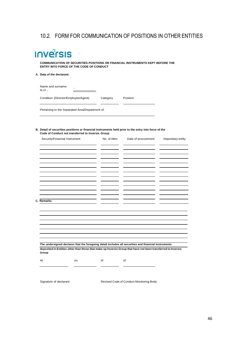# <span id="page-40-0"></span>10.2. FORM FOR COMMUNICATION OF POSITIONS IN OTHER ENTITIES

# **Inversis**

**COMMUNICATION OF SECURITIES POSITIONS OR FINANCIAL INSTRUMENTS KEPT BEFORE THE ENTRY INTO FORCE OF THE CODE OF CONDUCT**

#### **A. Data of the declarant:**

| Name and surname:<br>-<br>$N.F$ :   |          |          |
|-------------------------------------|----------|----------|
| Condition (Director/Employee/Agent) | Category | Position |

Pertaining to the Separated Area/Department of:

#### **B. Detail of securities positions or financial instruments held prior to the entry into force of the Code of Conduct not transferred to Inversis Group**

| Security/Financial Instrument                                                                                 | No. of titles | Date of procurement | Depositary entity |
|---------------------------------------------------------------------------------------------------------------|---------------|---------------------|-------------------|
|                                                                                                               |               |                     |                   |
|                                                                                                               |               |                     |                   |
|                                                                                                               |               |                     |                   |
|                                                                                                               |               |                     |                   |
|                                                                                                               |               |                     |                   |
|                                                                                                               |               |                     |                   |
|                                                                                                               |               |                     |                   |
|                                                                                                               |               |                     |                   |
|                                                                                                               |               |                     |                   |
|                                                                                                               |               |                     |                   |
|                                                                                                               |               |                     |                   |
| C. Remarks                                                                                                    |               |                     |                   |
|                                                                                                               |               |                     |                   |
|                                                                                                               |               |                     |                   |
|                                                                                                               |               |                     |                   |
|                                                                                                               |               |                     |                   |
|                                                                                                               |               |                     |                   |
|                                                                                                               |               |                     |                   |
|                                                                                                               |               |                     |                   |
|                                                                                                               |               |                     |                   |
| The undersigned declares that the foregoing detail includes all securities and financial instruments          |               |                     |                   |
| deposited in Entities other than those that make up Inversis Group that have not been transferred to Inversis |               |                     |                   |
| Group                                                                                                         |               |                     |                   |
| At<br>on,                                                                                                     | of            | of                  |                   |
|                                                                                                               |               |                     |                   |
|                                                                                                               |               |                     |                   |
|                                                                                                               |               |                     |                   |

Signature of declarant Revised Code of Conduct Monitoring Body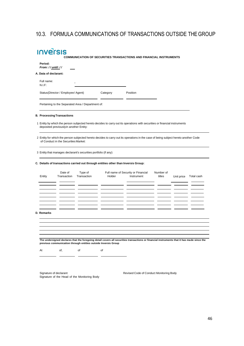# 10.3. FORMULA COMMUNICATIONS OF TRANSACTIONS OUTSIDE THEGROUP

| <b>INVETSIS</b> |  |
|-----------------|--|
|                 |  |

**COMMUNICATION OF SECURITIES TRANSACTIONS AND FINANCIAL INSTRUMENTS**

| Period:<br>From: // until: // |                                        |                                                                  |                                                                                    |                                                                                                                                           |                     |            |            |
|-------------------------------|----------------------------------------|------------------------------------------------------------------|------------------------------------------------------------------------------------|-------------------------------------------------------------------------------------------------------------------------------------------|---------------------|------------|------------|
| A. Data of declarant:         |                                        |                                                                  |                                                                                    |                                                                                                                                           |                     |            |            |
| Full name:<br>N.I.F:          |                                        |                                                                  |                                                                                    |                                                                                                                                           |                     |            |            |
|                               | Status(Director / Employee/ Agent)     |                                                                  | Category                                                                           | Position                                                                                                                                  |                     |            |            |
|                               |                                        | Pertaining to the Separated Area / Department of:                |                                                                                    |                                                                                                                                           |                     |            |            |
|                               | <b>B. Processing Transactions</b>      |                                                                  |                                                                                    |                                                                                                                                           |                     |            |            |
|                               | deposited previouslyin another Entity: |                                                                  |                                                                                    | 1 Entity by which the person subjected hereto decides to carry out its operations with securities or financial instruments                |                     |            |            |
|                               | of Conduct in the Securities Market:   |                                                                  |                                                                                    | 2 Entity for which the person subjected hereto decides to carry out its operations in the case of being subject hereto another Code       |                     |            |            |
|                               |                                        | 3 Entity that manages declarant's securities portfolio (if any): |                                                                                    |                                                                                                                                           |                     |            |            |
|                               |                                        |                                                                  | C. Details of transactions carried out through entities other than Inversis Group: |                                                                                                                                           |                     |            |            |
| Entity                        | Date of<br>Transaction                 | Type of<br>Transaction                                           | Holder                                                                             | Full name of Security or Financial<br>Instrument                                                                                          | Number of<br>titles | Unit price | Total cash |
|                               |                                        |                                                                  |                                                                                    |                                                                                                                                           |                     |            |            |
|                               |                                        |                                                                  |                                                                                    |                                                                                                                                           |                     |            |            |
|                               |                                        |                                                                  |                                                                                    |                                                                                                                                           |                     |            |            |
| D. Remarks                    |                                        |                                                                  |                                                                                    |                                                                                                                                           |                     |            |            |
|                               |                                        |                                                                  |                                                                                    |                                                                                                                                           |                     |            |            |
|                               |                                        |                                                                  |                                                                                    |                                                                                                                                           |                     |            |            |
|                               |                                        |                                                                  | previous communication through entities outside Inversis Group                     | The undersigned declares that the foregoing detail covers all securities transactions or financial instruments that it has made since the |                     |            |            |

Signature of declarant **Revised Code of Conduct Monitoring Body** Signature of the Head of the Monitoring Body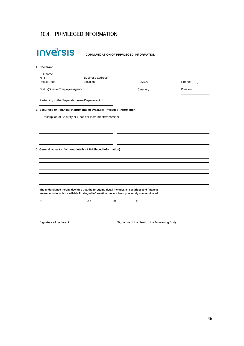# 10.4. PRIVILEGED INFORMATION

| Full name                       | Business address:                                                          |          |          |
|---------------------------------|----------------------------------------------------------------------------|----------|----------|
| N.I.F.<br>Postal Code           | Location                                                                   | Province | Phone:   |
| Status(Director/Employee/Agent) |                                                                            | Category | Position |
|                                 | Pertaining to the Separated Area/Department of:                            |          |          |
|                                 | B. Securities or Financial instruments of available Privileged Information |          |          |
|                                 | Description of Security or Financial Instrument/transmitter                |          |          |
|                                 |                                                                            |          |          |
|                                 |                                                                            |          |          |
|                                 |                                                                            |          |          |
|                                 |                                                                            |          |          |
|                                 |                                                                            |          |          |
|                                 | C. General remarks (without details of Privileged Information)             |          |          |
|                                 |                                                                            |          |          |
|                                 |                                                                            |          |          |
|                                 |                                                                            |          |          |
|                                 |                                                                            |          |          |

Signature of declarant Signature of the Head of the Monitoring Body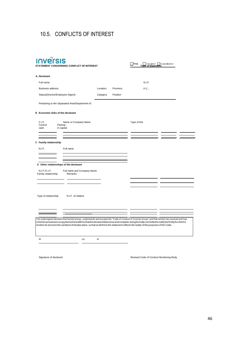# <span id="page-43-0"></span>10.5. CONFLICTS OF INTEREST

| <b>געב</b> 'ר<ו<br>STATEMENT CONCERNING CONFLICT OF INTEREST                                                                                                                                                                                                                                                                                                                                                                                                           |           |           | First<br>of Statemen | Variation  Cancellation |
|------------------------------------------------------------------------------------------------------------------------------------------------------------------------------------------------------------------------------------------------------------------------------------------------------------------------------------------------------------------------------------------------------------------------------------------------------------------------|-----------|-----------|----------------------|-------------------------|
| A. Declarant                                                                                                                                                                                                                                                                                                                                                                                                                                                           |           |           |                      |                         |
| Full name                                                                                                                                                                                                                                                                                                                                                                                                                                                              |           |           | N.I.F.               |                         |
| Business address:                                                                                                                                                                                                                                                                                                                                                                                                                                                      | Location: | Province: | P.C.                 |                         |
| Status(Director/Employee /Agent)                                                                                                                                                                                                                                                                                                                                                                                                                                       | Category  | Position  |                      |                         |
| Pertaining to the Separated Area/Department of:                                                                                                                                                                                                                                                                                                                                                                                                                        |           |           |                      |                         |
| <b>B</b> Economic links of the declarant                                                                                                                                                                                                                                                                                                                                                                                                                               |           |           |                      |                         |
| C.I.F.<br>Name or Company Name<br>Particip.<br>Control<br>cash<br>in capital                                                                                                                                                                                                                                                                                                                                                                                           |           |           | Type of link         |                         |
| C Family relationship<br>N.I.F.<br>Full name                                                                                                                                                                                                                                                                                                                                                                                                                           |           |           |                      |                         |
| D Other relationships of the declarant<br>N.I.F./C.I.F.<br>Full name and Company Name<br>Remarks<br>Family relationship                                                                                                                                                                                                                                                                                                                                                |           |           |                      |                         |
| Type of relationship<br>N.I.F. of relative                                                                                                                                                                                                                                                                                                                                                                                                                             |           |           |                      |                         |
| The undersigned declares that he/she knows, understands and accepts the "Code of Conduct of Inversis Group" and that he/she has received and has<br>in his/her possession a copy thereof and affirms that the declared data is true and complete, being formally committed to notify the Entity for which it<br>renders its services the variations that take place, so that at all times the statement reflects the reality of the purposes of the Code.<br>At<br>,on | of        |           |                      |                         |
|                                                                                                                                                                                                                                                                                                                                                                                                                                                                        |           |           |                      |                         |

Signature of declarant and a state of Conduct Monitoring Body